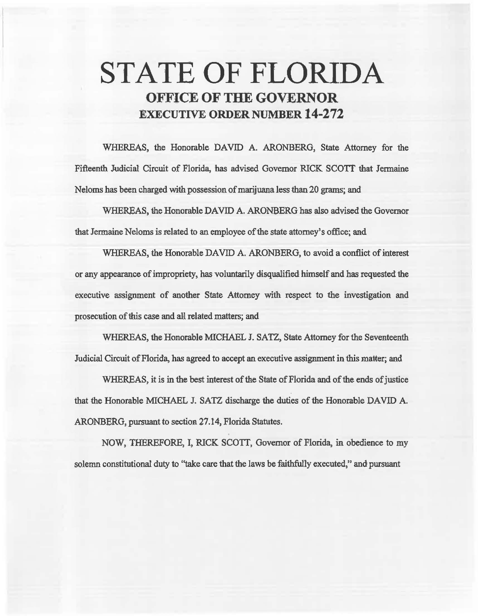# STATE OF FLORIDA OFFICE OF THE GOVERNOR EXECUTIVE ORDER NUMBER 14-272

WHEREAS, the Honorable DAVID A. ARONBERG, State Attorney for the Fifteenth Judicial Circuit of Florida, has advised Governor RICK SCOTf that Jennaine Neloms has been charged with possession of marijuana less than 20 grams; and

WHEREAS, the Honorable DAVID A. ARONBERG has also advised the Governor that Jermaine Neloms is related to an employee of the state attorney's office; and

WHEREAS, the Honorable DAVID A. ARONBERG, to avoid a conflict of interest or any appearance of impropriety, has voluntarily disqualified himself and has requested the executive assignment of another State Attorney with respect to the investigation and prosecution of this case and aJil related matters; and

WHEREAS, the Honorable MICHAEL J. SATZ, State A1torney for the Seventeenth Judicial Circuit of Florida, has agreed to accept an executive assigmnent in this matter; and

WHEREAS, it is in the best interest of the State of Florida and of the ends of justice that the Honorable MICHAEL J. SATZ discharge the duties of the Honorable DAVID A. ARONBERG, pursuant to section 27.14, Florida Statutes.

NOW, THEREFORE, I, RICK SCOIT, Governor of Florida, in obedience to my solemn constitutional duty to "take care that the laws be faithfully executed," and pursuant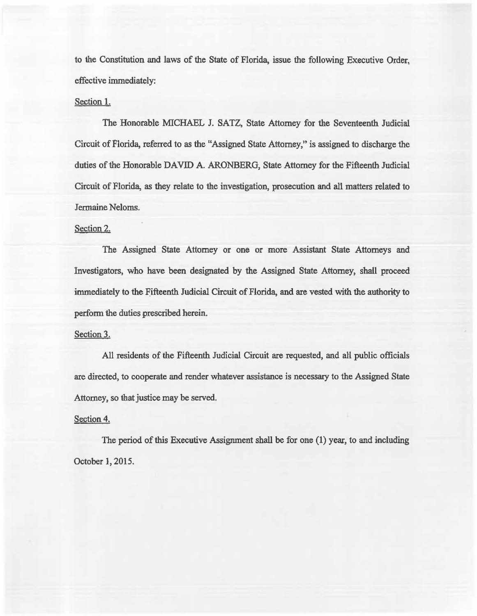to the Constitution and laws of the State of Florida, issue the following Executive Order, effective immediately:

## Section 1.

The Honorable MICHAEL J. SATZ, State Attorney for the Seventeenth Judicial Circuit of Florida, referred to as the "Assigned State Attorney," is assigned to discharge the duties of the Honorable DAVID A. ARONBERG, State Attorney for the Fifteenth Judicial Circuit of Florida, as they relate to the investigation, prosecution and al1 matters related to Jermaine Neloms.

#### Section 2.

The Assigned State Attorney or one or more Assistant State Attorneys and Investigators, who have been designated by the Assigned State Attorney, shall proceed immediately to the F'ifteenth Judicial Circuit of Florida, and are vested with the authority to perform the duties prescribed herein.

### Section 3.

All residents of the Fifteenth Judicial Circuit are requested, and ali public officials are directed, to cooperate and render whatever assistance is necessary to the Assigned State Attorney, so that justice may be served.

## Section 4.

The period of this Executive Assignment shall be for one (1) year, to and including October l, 2015.